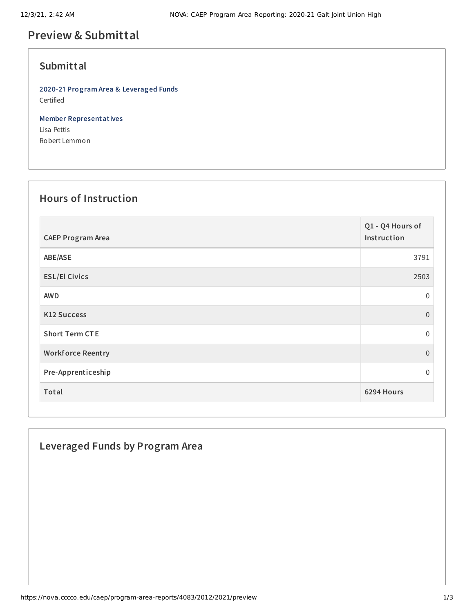# **Preview & Submittal**

## **Submittal**

**2020-21 Program Area & Leveraged Funds** Certified

**Member Representatives** Lisa Pettis Robert Lemmon

### **Hours of Instruction**

| <b>CAEP Program Area</b> | Q1 - Q4 Hours of<br>Instruction |
|--------------------------|---------------------------------|
| ABE/ASE                  | 3791                            |
| <b>ESL/El Civics</b>     | 2503                            |
| <b>AWD</b>               | $\mathbf 0$                     |
| <b>K12 Success</b>       | $\Omega$                        |
| <b>Short Term CTE</b>    | $\mathbf{0}$                    |
| <b>Workforce Reentry</b> | $\overline{0}$                  |
| Pre-Apprenticeship       | $\Omega$                        |
| Total                    | 6294 Hours                      |

## **Leveraged Funds by Program Area**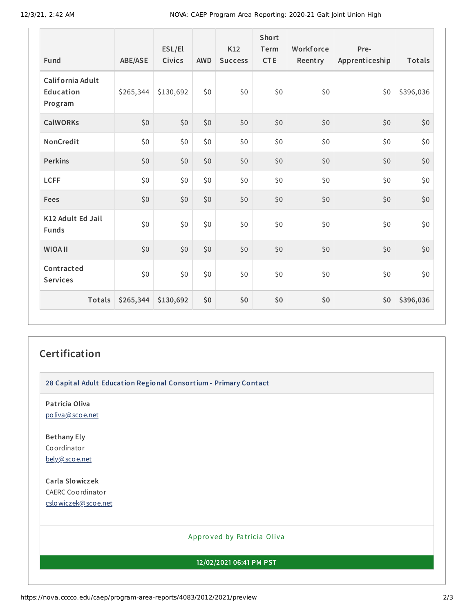12/3/21, 2:42 AM NOVA: CAEP Program Area Reporting: 2020-21 Galt Joint Union High

| Fund                                     | <b>ABE/ASE</b> | ESL/El<br><b>Civics</b> | <b>AWD</b> | K12<br><b>Success</b> | <b>Short</b><br>Term<br><b>CTE</b> | Workforce<br>Reentry | Pre-<br>Apprenticeship | Totals    |
|------------------------------------------|----------------|-------------------------|------------|-----------------------|------------------------------------|----------------------|------------------------|-----------|
| California Adult<br>Education<br>Program | \$265,344      | \$130,692               | \$0        | \$0                   | \$0                                | \$0                  | \$0                    | \$396,036 |
| <b>CalWORKs</b>                          | \$0            | \$0                     | \$0        | \$0                   | \$0                                | \$0                  | \$0                    | \$0       |
| NonCredit                                | \$0            | \$0                     | \$0        | \$0                   | \$0                                | \$0                  | \$0                    | \$0       |
| <b>Perkins</b>                           | \$0            | \$0                     | \$0        | \$0                   | \$0                                | \$0                  | \$0                    | \$0       |
| <b>LCFF</b>                              | \$0            | \$0                     | \$0        | \$0                   | \$0                                | \$0                  | \$0                    | \$0       |
| Fees                                     | \$0            | \$0                     | \$0        | \$0                   | \$0                                | \$0                  | \$0                    | \$0       |
| K12 Adult Ed Jail<br><b>Funds</b>        | \$0            | \$0                     | \$0        | \$0                   | \$0                                | \$0                  | \$0\$                  | \$0       |
| <b>WIOA II</b>                           | \$0            | \$0                     | \$0        | \$0                   | \$0                                | \$0                  | \$0                    | \$0       |
| Contracted<br><b>Services</b>            | \$0            | \$0                     | \$0        | \$0                   | \$0                                | \$0                  | \$0                    | \$0       |
| Totals                                   | \$265,344      | \$130,692               | \$0        | \$0                   | \$0                                | \$0                  | \$0                    | \$396,036 |

## **Certification**

**28 Capital Adult Education Regional Consortium - Primary Contact**

**Patricia Oliva** [poliva@scoe.net](mailto:poliva@scoe.net)

**Bethany Ely** Coordinator [bely@scoe.net](mailto:bely@scoe.net)

**Carla Slowiczek** CAERC Coordinator [cslowiczek@scoe.net](mailto:cslowiczek@scoe.net)

#### Appro ved by Pa tricia Oliva

**12/02/2021 06:41 PM PST**